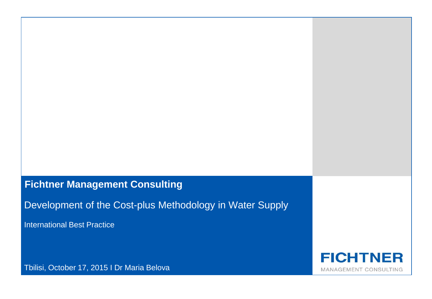# **Fichtner Management Consulting**

Development of the Cost-plus Methodology in Water Supply

International Best Practice

**FICHTNER** MANAGEMENT CONSULTING

Tbilisi, October 17, 2015 I Dr Maria Belova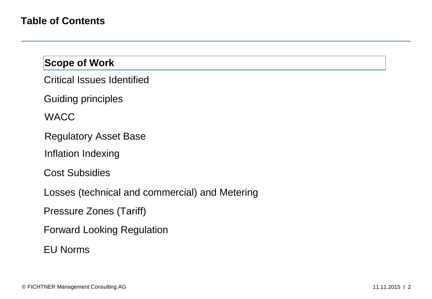Critical Issues Identified

Guiding principles

**WACC** 

Regulatory Asset Base

Inflation Indexing

Cost Subsidies

Losses (technical and commercial) and Metering

Pressure Zones (Tariff)

Forward Looking Regulation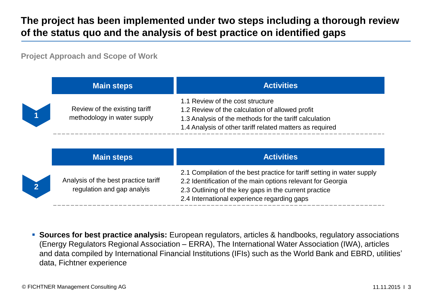# **The project has been implemented under two steps including a thorough review of the status quo and the analysis of best practice on identified gaps**

**Project Approach and Scope of Work**

| <b>Main steps</b>                                            | <b>Activities</b>                                                                                                                                                                                         |
|--------------------------------------------------------------|-----------------------------------------------------------------------------------------------------------------------------------------------------------------------------------------------------------|
| Review of the existing tariff<br>methodology in water supply | 1.1 Review of the cost structure<br>1.2 Review of the calculation of allowed profit<br>1.3 Analysis of the methods for the tariff calculation<br>1.4 Analysis of other tariff related matters as required |

|          | <b>Main steps</b>                                                  | <b>Activities</b>                                                                                                                                                                                                                              |
|----------|--------------------------------------------------------------------|------------------------------------------------------------------------------------------------------------------------------------------------------------------------------------------------------------------------------------------------|
| $\bf{2}$ | Analysis of the best practice tariff<br>regulation and gap analyis | 2.1 Compilation of the best practice for tariff setting in water supply<br>2.2 Identification of the main options relevant for Georgia<br>2.3 Outlining of the key gaps in the current practice<br>2.4 International experience regarding gaps |

 **Sources for best practice analysis:** European regulators, articles & handbooks, regulatory associations (Energy Regulators Regional Association – ERRA), The International Water Association (IWA), articles and data compiled by International Financial Institutions (IFIs) such as the World Bank and EBRD, utilities' data, Fichtner experience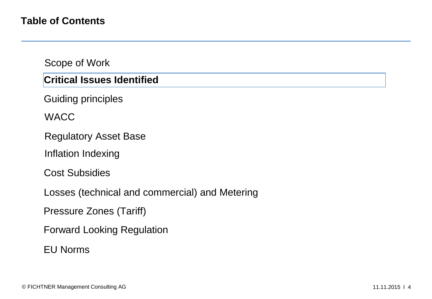#### **Critical Issues Identified**

Guiding principles

**WACC** 

Regulatory Asset Base

Inflation Indexing

Cost Subsidies

Losses (technical and commercial) and Metering

Pressure Zones (Tariff)

Forward Looking Regulation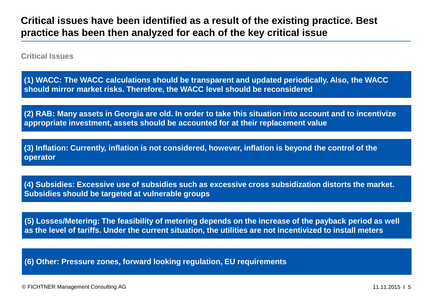**Critical Issues**

**(1) WACC: The WACC calculations should be transparent and updated periodically. Also, the WACC should mirror market risks. Therefore, the WACC level should be reconsidered**

**(2) RAB: Many assets in Georgia are old. In order to take this situation into account and to incentivize appropriate investment, assets should be accounted for at their replacement value**

**(3) Inflation: Currently, inflation is not considered, however, inflation is beyond the control of the operator**

**(4) Subsidies: Excessive use of subsidies such as excessive cross subsidization distorts the market. Subsidies should be targeted at vulnerable groups**

**(5) Losses/Metering: The feasibility of metering depends on the increase of the payback period as well as the level of tariffs. Under the current situation, the utilities are not incentivized to install meters**

**(6) Other: Pressure zones, forward looking regulation, EU requirements**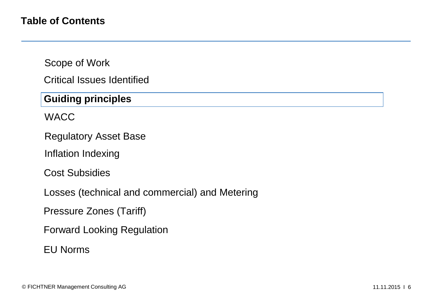Critical Issues Identified

# **Guiding principles**

WACC

Regulatory Asset Base

Inflation Indexing

Cost Subsidies

Losses (technical and commercial) and Metering

Pressure Zones (Tariff)

Forward Looking Regulation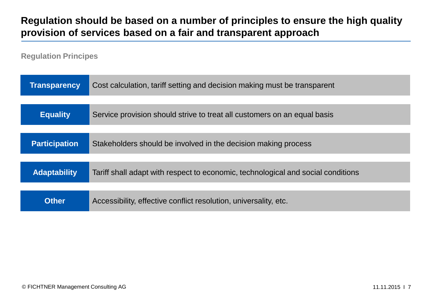# **Regulation should be based on a number of principles to ensure the high quality provision of services based on a fair and transparent approach**

**Regulation Principes**

| <b>Transparency</b>  | Cost calculation, tariff setting and decision making must be transparent         |  |
|----------------------|----------------------------------------------------------------------------------|--|
|                      |                                                                                  |  |
| <b>Equality</b>      | Service provision should strive to treat all customers on an equal basis         |  |
|                      |                                                                                  |  |
| <b>Participation</b> | Stakeholders should be involved in the decision making process                   |  |
|                      |                                                                                  |  |
| <b>Adaptability</b>  | Tariff shall adapt with respect to economic, technological and social conditions |  |
|                      |                                                                                  |  |
| <b>Other</b>         | Accessibility, effective conflict resolution, universality, etc.                 |  |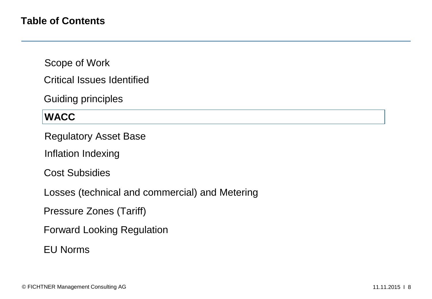Critical Issues Identified

Guiding principles

#### **WACC**

Regulatory Asset Base

Inflation Indexing

Cost Subsidies

Losses (technical and commercial) and Metering

Pressure Zones (Tariff)

Forward Looking Regulation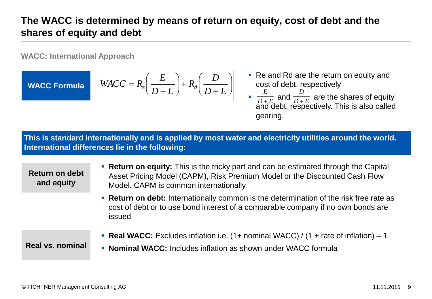# **The WACC is determined by means of return on equity, cost of debt and the shares of equity and debt**

**WACC: International Approach**

**WACC Formula**

$$
WACC = R_e \left(\frac{E}{D+E}\right) + R_d \left(\frac{D}{D+E}\right)
$$

- Re and Rd are the return on equity and cost of debt, respectively
- **a**  $\frac{E}{D+E}$  and  $\frac{E}{D+E}$  are the shares of equity and debt, respectively. This is also called gearing. *E*  $E$ <sup>*u*</sup> *D* + *E D*  $^+$

**This is standard internationally and is applied by most water and electricity utilities around the world. International differences lie in the following:**

**Return on debt and equity**

- **Return on equity:** This is the tricky part and can be estimated through the Capital Asset Pricing Model (CAPM), Risk Premium Model or the Discounted Cash Flow Model**.** CAPM is common internationally
- **Return on debt:** Internationally common is the determination of the risk free rate as cost of debt or to use bond interest of a comparable company if no own bonds are issued

**Real vs. nominal**

- **Real WACC:** Excludes inflation i.e. (1+ nominal WACC) / (1 + rate of inflation) 1
- **Nominal WACC:** Includes inflation as shown under WACC formula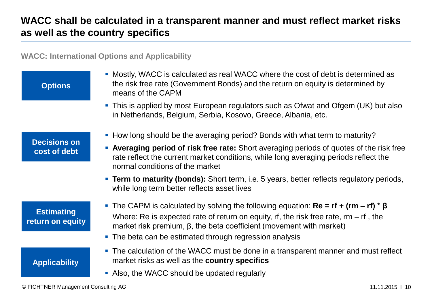# **WACC shall be calculated in a transparent manner and must reflect market risks as well as the country specifics**

**WACC: International Options and Applicability**

| <b>Options</b>                        | • Mostly, WACC is calculated as real WACC where the cost of debt is determined as<br>the risk free rate (Government Bonds) and the return on equity is determined by<br>means of the CAPM |  |  |
|---------------------------------------|-------------------------------------------------------------------------------------------------------------------------------------------------------------------------------------------|--|--|
|                                       | • This is applied by most European regulators such as Ofwat and Ofgem (UK) but also<br>in Netherlands, Belgium, Serbia, Kosovo, Greece, Albania, etc.                                     |  |  |
|                                       | • How long should be the averaging period? Bonds with what term to maturity?                                                                                                              |  |  |
| <b>Decisions on</b><br>cost of debt   | • Averaging period of risk free rate: Short averaging periods of quotes of the risk free<br>rate reflect the current market conditions, while long averaging periods reflect the          |  |  |
|                                       | normal conditions of the market                                                                                                                                                           |  |  |
|                                       | <b>Term to maturity (bonds):</b> Short term, i.e. 5 years, better reflects regulatory periods,<br>while long term better reflects asset lives                                             |  |  |
|                                       | <b>The CAPM</b> is calculated by solving the following equation: $\text{Re} = \text{rf} + (\text{rm} - \text{rf}) * \beta$                                                                |  |  |
| <b>Estimating</b><br>return on equity | Where: Re is expected rate of return on equity, rf, the risk free rate, $rm - rf$ , the<br>market risk premium, $\beta$ , the beta coefficient (movement with market)                     |  |  |
|                                       | • The beta can be estimated through regression analysis                                                                                                                                   |  |  |
| <b>Applicability</b>                  | • The calculation of the WACC must be done in a transparent manner and must reflect<br>market risks as well as the country specifics<br>• Also, the WACC should be updated regularly      |  |  |
|                                       |                                                                                                                                                                                           |  |  |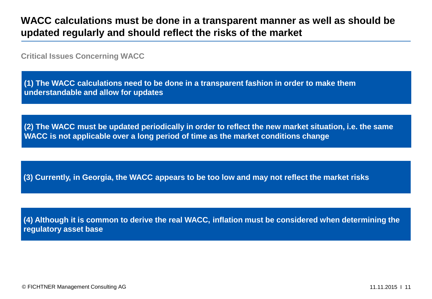## **WACC calculations must be done in a transparent manner as well as should be updated regularly and should reflect the risks of the market**

**Critical Issues Concerning WACC**

**(1) The WACC calculations need to be done in a transparent fashion in order to make them understandable and allow for updates**

**(2) The WACC must be updated periodically in order to reflect the new market situation, i.e. the same WACC is not applicable over a long period of time as the market conditions change** 

**(3) Currently, in Georgia, the WACC appears to be too low and may not reflect the market risks**

**(4) Although it is common to derive the real WACC, inflation must be considered when determining the regulatory asset base**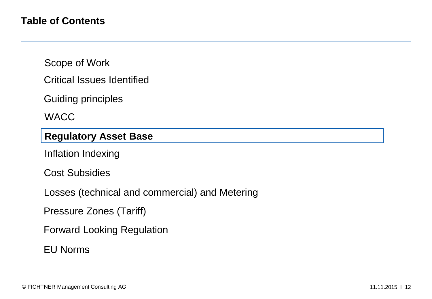Critical Issues Identified

Guiding principles

**WACC** 

#### **Regulatory Asset Base**

Inflation Indexing

Cost Subsidies

Losses (technical and commercial) and Metering

Pressure Zones (Tariff)

Forward Looking Regulation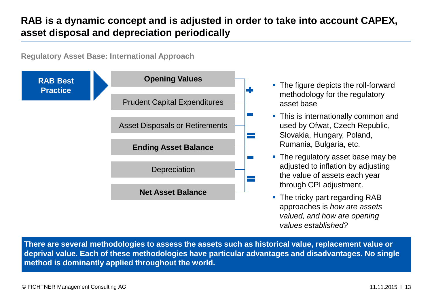# **RAB is a dynamic concept and is adjusted in order to take into account CAPEX, asset disposal and depreciation periodically**

**Regulatory Asset Base: International Approach**



- The figure depicts the roll-forward methodology for the regulatory asset base
- This is internationally common and used by Ofwat, Czech Republic, Slovakia, Hungary, Poland, Rumania, Bulgaria, etc.
- The regulatory asset base may be adjusted to inflation by adjusting the value of assets each year through CPI adjustment.
- The tricky part regarding RAB approaches is *how are assets valued, and how are opening values established?*

**There are several methodologies to assess the assets such as historical value, replacement value or deprival value. Each of these methodologies have particular advantages and disadvantages. No single method is dominantly applied throughout the world.**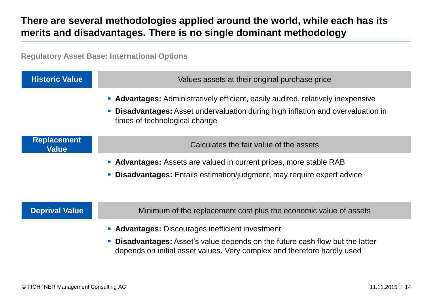# **There are several methodologies applied around the world, while each has its merits and disadvantages. There is no single dominant methodology**

**Regulatory Asset Base: International Options**

| <b>Historic Value</b>              | Values assets at their original purchase price                                                                                                                                                                    |  |  |
|------------------------------------|-------------------------------------------------------------------------------------------------------------------------------------------------------------------------------------------------------------------|--|--|
|                                    | • Advantages: Administratively efficient, easily audited, relatively inexpensive<br><b>Disadvantages:</b> Asset undervaluation during high inflation and overvaluation in<br>times of technological change        |  |  |
| <b>Replacement</b><br><b>Value</b> | Calculates the fair value of the assets                                                                                                                                                                           |  |  |
|                                    | • Advantages: Assets are valued in current prices, more stable RAB<br>• Disadvantages: Entails estimation/judgment, may require expert advice                                                                     |  |  |
| <b>Deprival Value</b>              | Minimum of the replacement cost plus the economic value of assets                                                                                                                                                 |  |  |
|                                    | • Advantages: Discourages inefficient investment<br><b>Disadvantages:</b> Asset's value depends on the future cash flow but the latter<br>depends on initial asset values. Very complex and therefore hardly used |  |  |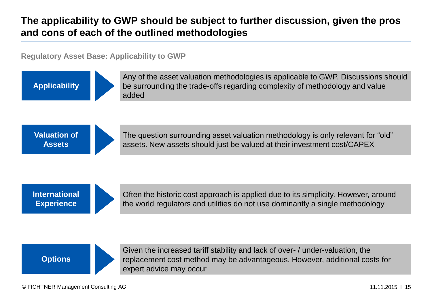# **The applicability to GWP should be subject to further discussion, given the pros and cons of each of the outlined methodologies**

**Regulatory Asset Base: Applicability to GWP**

**Applicability**



Any of the asset valuation methodologies is applicable to GWP. Discussions should be surrounding the trade-offs regarding complexity of methodology and value added

**Valuation of Assets**



The question surrounding asset valuation methodology is only relevant for "old" assets. New assets should just be valued at their investment cost/CAPEX

**International Experience**



Often the historic cost approach is applied due to its simplicity. However, around the world regulators and utilities do not use dominantly a single methodology



Given the increased tariff stability and lack of over- / under-valuation, the replacement cost method may be advantageous. However, additional costs for expert advice may occur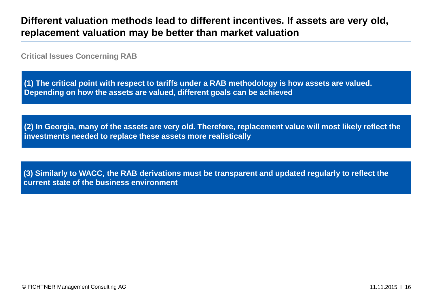## **Different valuation methods lead to different incentives. If assets are very old, replacement valuation may be better than market valuation**

**Critical Issues Concerning RAB**

**(1) The critical point with respect to tariffs under a RAB methodology is how assets are valued. Depending on how the assets are valued, different goals can be achieved**

**(2) In Georgia, many of the assets are very old. Therefore, replacement value will most likely reflect the investments needed to replace these assets more realistically**

**(3) Similarly to WACC, the RAB derivations must be transparent and updated regularly to reflect the current state of the business environment**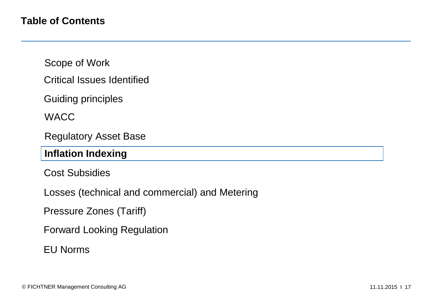Critical Issues Identified

Guiding principles

**WACC** 

Regulatory Asset Base

#### **Inflation Indexing**

Cost Subsidies

Losses (technical and commercial) and Metering

Pressure Zones (Tariff)

Forward Looking Regulation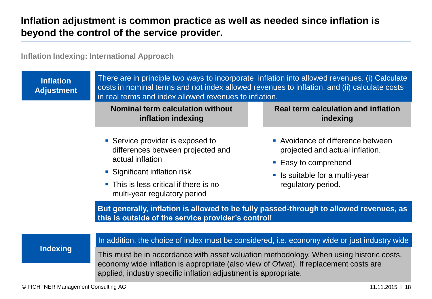# **Inflation adjustment is common practice as well as needed since inflation is beyond the control of the service provider.**

**Inflation Indexing: International Approach**

| <b>Inflation</b><br><b>Adjustment</b> | There are in principle two ways to incorporate inflation into allowed revenues. (i) Calculate<br>costs in nominal terms and not index allowed revenues to inflation, and (ii) calculate costs<br>in real terms and index allowed revenues to inflation. |                                                                                              |  |  |
|---------------------------------------|---------------------------------------------------------------------------------------------------------------------------------------------------------------------------------------------------------------------------------------------------------|----------------------------------------------------------------------------------------------|--|--|
|                                       | <b>Nominal term calculation without</b><br>inflation indexing                                                                                                                                                                                           | <b>Real term calculation and inflation</b><br>indexing                                       |  |  |
|                                       | • Service provider is exposed to<br>differences between projected and<br>actual inflation                                                                                                                                                               | • Avoidance of difference between<br>projected and actual inflation.<br>• Easy to comprehend |  |  |
|                                       | • Significant inflation risk<br>• This is less critical if there is no<br>multi-year regulatory period                                                                                                                                                  | • Is suitable for a multi-year<br>regulatory period.                                         |  |  |
|                                       | But generally, inflation is allowed to be fully passed-through to allowed revenues, as<br>this is outside of the service provider's control!                                                                                                            |                                                                                              |  |  |
|                                       | In addition, the choice of index must be considered, i.e. economy wide or just industry wide                                                                                                                                                            |                                                                                              |  |  |
| <b>Indexing</b>                       | This must be in accordance with asset valuation methodology. When using historic costs,<br>economy wide inflation is appropriate (also view of Ofwat). If replacement costs are<br>applied, industry specific inflation adjustment is appropriate.      |                                                                                              |  |  |
| © FICHTNER Management Consulting AG   |                                                                                                                                                                                                                                                         | 11.11.2015   18                                                                              |  |  |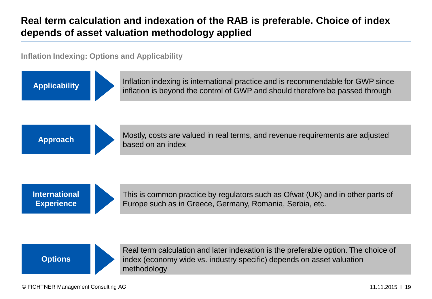# **Real term calculation and indexation of the RAB is preferable. Choice of index depends of asset valuation methodology applied**

**Inflation Indexing: Options and Applicability**

**Applicability** Inflation indexing is international practice and is recommendable for GWP since inflation is beyond the control of GWP and should therefore be passed through



Approach Mostly, costs are valued in real terms, and revenue requirements are adjusted based on an index

**International Experience**



This is common practice by regulators such as Ofwat (UK) and in other parts of Europe such as in Greece, Germany, Romania, Serbia, etc.



Real term calculation and later indexation is the preferable option. The choice of index (economy wide vs. industry specific) depends on asset valuation methodology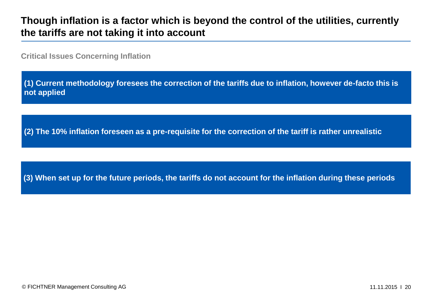## **Though inflation is a factor which is beyond the control of the utilities, currently the tariffs are not taking it into account**

**Critical Issues Concerning Inflation**

**(1) Current methodology foresees the correction of the tariffs due to inflation, however de-facto this is not applied**

**(2) The 10% inflation foreseen as a pre-requisite for the correction of the tariff is rather unrealistic**

**(3) When set up for the future periods, the tariffs do not account for the inflation during these periods**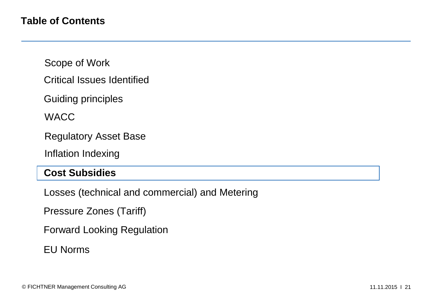- Critical Issues Identified
- Guiding principles

**WACC** 

Regulatory Asset Base

Inflation Indexing

#### **Cost Subsidies**

Losses (technical and commercial) and Metering

Pressure Zones (Tariff)

Forward Looking Regulation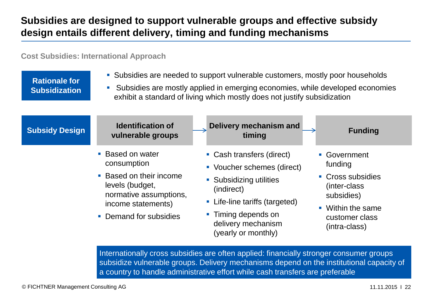# **Subsidies are designed to support vulnerable groups and effective subsidy design entails different delivery, timing and funding mechanisms**

**Cost Subsidies: International Approach**

**Rationale for Subsidization** Subsidies are needed to support vulnerable customers, mostly poor households

 Subsidies are mostly applied in emerging economies, while developed economies exhibit a standard of living which mostly does not justify subsidization



Internationally cross subsidies are often applied: financially stronger consumer groups subsidize vulnerable groups. Delivery mechanisms depend on the institutional capacity of a country to handle administrative effort while cash transfers are preferable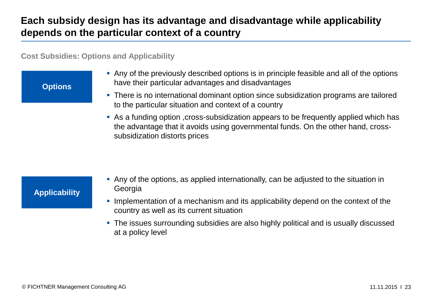# **Each subsidy design has its advantage and disadvantage while applicability depends on the particular context of a country**

**Cost Subsidies: Options and Applicability**

**Options**

- Any of the previously described options is in principle feasible and all of the options have their particular advantages and disadvantages
- There is no international dominant option since subsidization programs are tailored to the particular situation and context of a country
- As a funding option ,cross-subsidization appears to be frequently applied which has the advantage that it avoids using governmental funds. On the other hand, crosssubsidization distorts prices

#### **Applicability**

- Any of the options, as applied internationally, can be adjusted to the situation in Georgia
- **Implementation of a mechanism and its applicability depend on the context of the** country as well as its current situation
- **The issues surrounding subsidies are also highly political and is usually discussed** at a policy level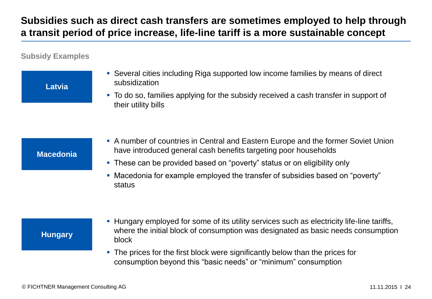# **Subsidies such as direct cash transfers are sometimes employed to help through a transit period of price increase, life-line tariff is a more sustainable concept**

#### **Subsidy Examples**

**Latvia**

 Several cities including Riga supported low income families by means of direct subsidization

 To do so, families applying for the subsidy received a cash transfer in support of their utility bills

#### **Macedonia**

- A number of countries in Central and Eastern Europe and the former Soviet Union have introduced general cash benefits targeting poor households
- These can be provided based on "poverty" status or on eligibility only
- Macedonia for example employed the transfer of subsidies based on "poverty" status

#### **Hungary**

- Hungary employed for some of its utility services such as electricity life-line tariffs, where the initial block of consumption was designated as basic needs consumption block
- The prices for the first block were significantly below than the prices for consumption beyond this "basic needs" or "minimum" consumption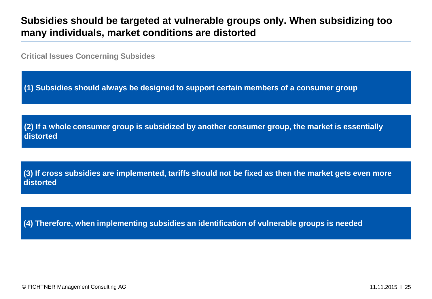## **Subsidies should be targeted at vulnerable groups only. When subsidizing too many individuals, market conditions are distorted**

**Critical Issues Concerning Subsides**

**(1) Subsidies should always be designed to support certain members of a consumer group**

**(2) If a whole consumer group is subsidized by another consumer group, the market is essentially distorted**

**(3) If cross subsidies are implemented, tariffs should not be fixed as then the market gets even more distorted**

**(4) Therefore, when implementing subsidies an identification of vulnerable groups is needed**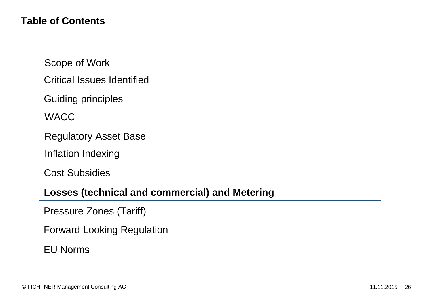- Critical Issues Identified
- Guiding principles

**WACC** 

- Regulatory Asset Base
- Inflation Indexing

Cost Subsidies

## **Losses (technical and commercial) and Metering**

Pressure Zones (Tariff)

Forward Looking Regulation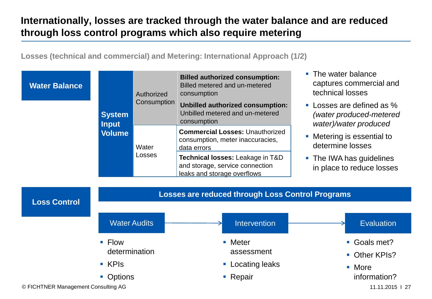# **Internationally, losses are tracked through the water balance and are reduced through loss control programs which also require metering**

**Losses (technical and commercial) and Metering: International Approach (1/2)**

| <b>Water Balance</b> |                                                             | Authorized<br>Consumption | <b>Billed authorized consumption:</b><br>Billed metered and un-metered<br>consumption<br>Unbilled authorized consumption:                   | The water balance<br>$\mathcal{L}_{\rm{eff}}$<br>captures commercial and<br>technical losses<br>• Losses are defined as %       |  |
|----------------------|-------------------------------------------------------------|---------------------------|---------------------------------------------------------------------------------------------------------------------------------------------|---------------------------------------------------------------------------------------------------------------------------------|--|
|                      | <b>System</b><br><b>Input</b><br><b>Volume</b><br>Water     |                           | Unbilled metered and un-metered<br>consumption<br><b>Commercial Losses: Unauthorized</b><br>consumption, meter inaccuracies,<br>data errors | (water produced-metered<br>water)/water produced<br>Metering is essential to<br>$\mathcal{L}_{\mathcal{A}}$<br>determine losses |  |
|                      |                                                             | Losses                    | Technical losses: Leakage in T&D<br>and storage, service connection<br>leaks and storage overflows                                          | • The IWA has guidelines<br>in place to reduce losses                                                                           |  |
| <b>Loss Control</b>  | <b>Losses are reduced through Loss Control Programs</b>     |                           |                                                                                                                                             |                                                                                                                                 |  |
|                      | <b>Water Audits</b>                                         |                           | Intervention                                                                                                                                | <b>Evaluation</b>                                                                                                               |  |
|                      | $\blacksquare$ Flow<br>determination<br>$\blacksquare$ KPIs |                           | • Meter<br>assessment<br>Locating leaks<br>$\mathcal{L}_{\mathcal{A}}$                                                                      | Goals met?<br>$\mathcal{L}_{\mathcal{A}}$<br>Other KPIs?<br>More<br>$\mathcal{L}_{\mathcal{A}}$                                 |  |
|                      | • Options                                                   |                           | • Repair                                                                                                                                    | information?                                                                                                                    |  |

© FICHTNER Management Consulting AG 11.11.2015 I 27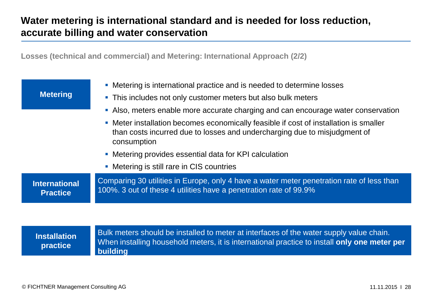# **Water metering is international standard and is needed for loss reduction, accurate billing and water conservation**

**Losses (technical and commercial) and Metering: International Approach (2/2)**

| <b>Metering</b>                                        | • Metering is international practice and is needed to determine losses<br>• This includes not only customer meters but also bulk meters                                           |  |
|--------------------------------------------------------|-----------------------------------------------------------------------------------------------------------------------------------------------------------------------------------|--|
|                                                        | • Also, meters enable more accurate charging and can encourage water conservation                                                                                                 |  |
|                                                        | • Meter installation becomes economically feasible if cost of installation is smaller<br>than costs incurred due to losses and undercharging due to misjudgment of<br>consumption |  |
| • Metering provides essential data for KPI calculation |                                                                                                                                                                                   |  |
|                                                        | • Metering is still rare in CIS countries                                                                                                                                         |  |
| <b>International</b><br><b>Practice</b>                | Comparing 30 utilities in Europe, only 4 have a water meter penetration rate of less than<br>100%. 3 out of these 4 utilities have a penetration rate of 99.9%                    |  |
|                                                        |                                                                                                                                                                                   |  |

**Installation practice**

Bulk meters should be installed to meter at interfaces of the water supply value chain. When installing household meters, it is international practice to install **only one meter per building**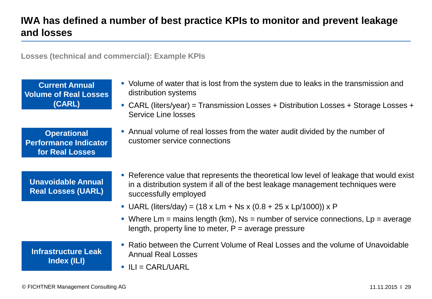# **IWA has defined a number of best practice KPIs to monitor and prevent leakage and losses**

**Losses (technical and commercial): Example KPIs** 

**Current Annual Volume of Real Losses (CARL)**  Volume of water that is lost from the system due to leaks in the transmission and distribution systems CARL (liters/year) = Transmission Losses + Distribution Losses + Storage Losses + Service Line losses **Operational Performance Indicator for Real Losses** Annual volume of real losses from the water audit divided by the number of customer service connections **Unavoidable Annual Real Losses (UARL)** Reference value that represents the theoretical low level of leakage that would exist in a distribution system if all of the best leakage management techniques were successfully employed • UARL (liters/day) = (18 x Lm + Ns x (0.8 + 25 x Lp/1000)) x P Where  $\mathsf{Lm}$  = mains length (km), Ns = number of service connections,  $\mathsf{Lp}$  = average length, property line to meter,  $P =$  average pressure **Infrastructure Leak Index (ILI)** Ratio between the Current Volume of Real Losses and the volume of Unavoidable Annual Real Losses  $\blacksquare$  ILI = CARL/UARL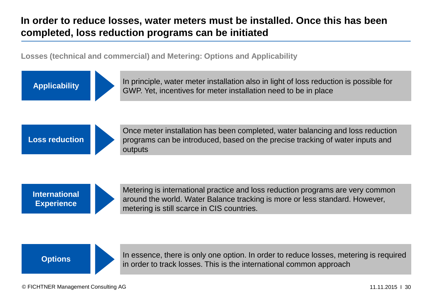# **In order to reduce losses, water meters must be installed. Once this has been completed, loss reduction programs can be initiated**

**Losses (technical and commercial) and Metering: Options and Applicability**



**Applicability** In principle, water meter installation also in light of loss reduction is possible for GWP. Yet, incentives for meter installation need to be in place



Once meter installation has been completed, water balancing and loss reduction programs can be introduced, based on the precise tracking of water inputs and outputs

**International Experience**



Metering is international practice and loss reduction programs are very common around the world. Water Balance tracking is more or less standard. However, metering is still scarce in CIS countries.

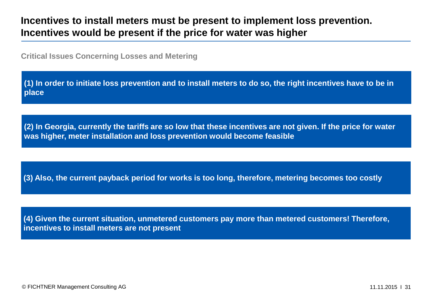## **Incentives to install meters must be present to implement loss prevention. Incentives would be present if the price for water was higher**

**Critical Issues Concerning Losses and Metering**

**(1) In order to initiate loss prevention and to install meters to do so, the right incentives have to be in place**

**(2) In Georgia, currently the tariffs are so low that these incentives are not given. If the price for water was higher, meter installation and loss prevention would become feasible**

**(3) Also, the current payback period for works is too long, therefore, metering becomes too costly**

**(4) Given the current situation, unmetered customers pay more than metered customers! Therefore, incentives to install meters are not present**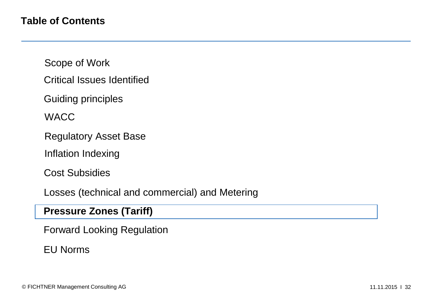- Critical Issues Identified
- Guiding principles

**WACC** 

- Regulatory Asset Base
- Inflation Indexing

Cost Subsidies

Losses (technical and commercial) and Metering

#### **Pressure Zones (Tariff)**

Forward Looking Regulation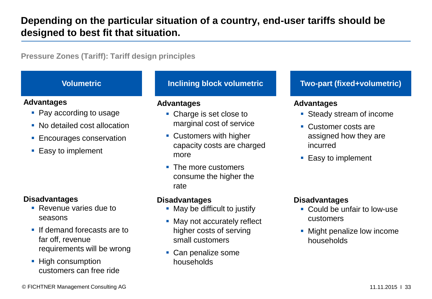# **Depending on the particular situation of a country, end-user tariffs should be designed to best fit that situation.**

**Pressure Zones (Tariff): Tariff design principles**

- Pay according to usage
- No detailed cost allocation
- **Encourages conservation**
- **Easy to implement**

#### **Disadvantages Disadvantages Disadvantages**

- **Revenue varies due to** seasons
- **If demand forecasts are to** far off, revenue requirements will be wrong
- **High consumption** customers can free ride

#### **Advantages Advantages Advantages**

- Charge is set close to marginal cost of service
- Customers with higher capacity costs are charged more
- The more customers consume the higher the rate

- May be difficult to justify
- May not accurately reflect higher costs of serving small customers
- Can penalize some households

#### **Volumetric Inclining block volumetric Two-part (fixed+volumetric)**

- **Steady stream of income**
- Customer costs are assigned how they are incurred
- **Easy to implement**

- Could be unfair to low-use customers
- Might penalize low income households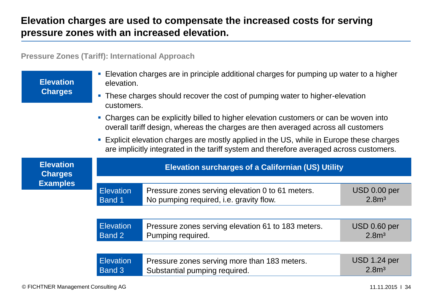# **Elevation charges are used to compensate the increased costs for serving pressure zones with an increased elevation.**

#### **Pressure Zones (Tariff): International Approach**

| <b>Elevation</b>                   | Elevation charges are in principle additional charges for pumping up water to a higher<br>$\mathcal{C}$<br>elevation.                                                                              |                                                                                             |                                   |  |
|------------------------------------|----------------------------------------------------------------------------------------------------------------------------------------------------------------------------------------------------|---------------------------------------------------------------------------------------------|-----------------------------------|--|
| <b>Charges</b>                     | • These charges should recover the cost of pumping water to higher-elevation<br>customers.                                                                                                         |                                                                                             |                                   |  |
|                                    | • Charges can be explicitly billed to higher elevation customers or can be woven into<br>overall tariff design, whereas the charges are then averaged across all customers                         |                                                                                             |                                   |  |
|                                    | Explicit elevation charges are mostly applied in the US, while in Europe these charges<br>$\mathcal{C}$<br>are implicitly integrated in the tariff system and therefore averaged across customers. |                                                                                             |                                   |  |
| <b>Elevation</b><br><b>Charges</b> | <b>Elevation surcharges of a Californian (US) Utility</b>                                                                                                                                          |                                                                                             |                                   |  |
| <b>Examples</b>                    | <b>Elevation</b><br>Band 1                                                                                                                                                                         | Pressure zones serving elevation 0 to 61 meters.<br>No pumping required, i.e. gravity flow. | USD 0.00 per<br>2.8 <sup>m3</sup> |  |
|                                    |                                                                                                                                                                                                    |                                                                                             |                                   |  |
|                                    | <b>Elevation</b><br>Band 2                                                                                                                                                                         | Pressure zones serving elevation 61 to 183 meters.<br>Pumping required.                     | USD 0.60 per<br>2.8 <sup>m3</sup> |  |
|                                    |                                                                                                                                                                                                    |                                                                                             |                                   |  |
|                                    | <b>Elevation</b><br>Band 3                                                                                                                                                                         | Pressure zones serving more than 183 meters.<br>Substantial pumping required.               | USD 1.24 per<br>2.8 <sup>m3</sup> |  |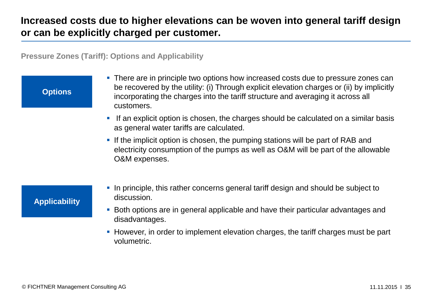# **Increased costs due to higher elevations can be woven into general tariff design or can be explicitly charged per customer.**

**Pressure Zones (Tariff): Options and Applicability**

#### **Options**

- **There are in principle two options how increased costs due to pressure zones can** be recovered by the utility: (i) Through explicit elevation charges or (ii) by implicitly incorporating the charges into the tariff structure and averaging it across all customers.
- If an explicit option is chosen, the charges should be calculated on a similar basis as general water tariffs are calculated.
- If the implicit option is chosen, the pumping stations will be part of RAB and electricity consumption of the pumps as well as O&M will be part of the allowable O&M expenses.

#### **Applicability**

- In principle, this rather concerns general tariff design and should be subject to discussion.
- Both options are in general applicable and have their particular advantages and disadvantages.
- **However, in order to implement elevation charges, the tariff charges must be part** volumetric.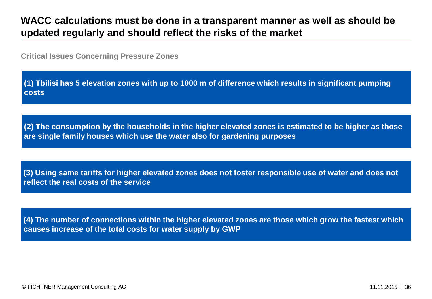## **WACC calculations must be done in a transparent manner as well as should be updated regularly and should reflect the risks of the market**

**Critical Issues Concerning Pressure Zones**

**(1) Tbilisi has 5 elevation zones with up to 1000 m of difference which results in significant pumping costs**

**(2) The consumption by the households in the higher elevated zones is estimated to be higher as those are single family houses which use the water also for gardening purposes**

**(3) Using same tariffs for higher elevated zones does not foster responsible use of water and does not reflect the real costs of the service**

**(4) The number of connections within the higher elevated zones are those which grow the fastest which causes increase of the total costs for water supply by GWP**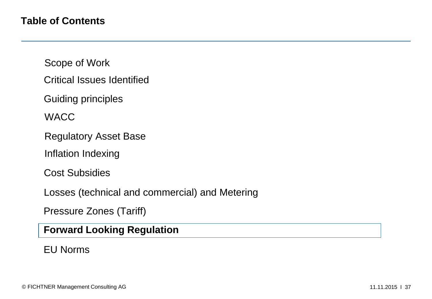- Critical Issues Identified
- Guiding principles

**WACC** 

- Regulatory Asset Base
- Inflation Indexing

Cost Subsidies

Losses (technical and commercial) and Metering

Pressure Zones (Tariff)

#### **Forward Looking Regulation**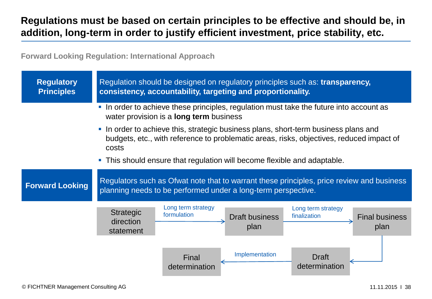# **Regulations must be based on certain principles to be effective and should be, in addition, long-term in order to justify efficient investment, price stability, etc.**

**Forward Looking Regulation: International Approach**

| <b>Regulatory</b><br><b>Principles</b> | Regulation should be designed on regulatory principles such as: transparency,<br>consistency, accountability, targeting and proportionality.                                                                          |  |  |
|----------------------------------------|-----------------------------------------------------------------------------------------------------------------------------------------------------------------------------------------------------------------------|--|--|
|                                        | In order to achieve these principles, regulation must take the future into account as<br>$\mathcal{L}_{\mathcal{A}}$<br>water provision is a <b>long term</b> business                                                |  |  |
|                                        | In order to achieve this, strategic business plans, short-term business plans and<br>$\mathcal{L}_{\mathcal{A}}$<br>budgets, etc., with reference to problematic areas, risks, objectives, reduced impact of<br>costs |  |  |
|                                        | • This should ensure that regulation will become flexible and adaptable.                                                                                                                                              |  |  |
| <b>Forward Looking</b>                 | Regulators such as Ofwat note that to warrant these principles, price review and business<br>planning needs to be performed under a long-term perspective.                                                            |  |  |
|                                        | Long term strategy<br>Long term strategy<br><b>Strategic</b><br>formulation<br>finalization<br><b>Draft business</b><br><b>Final business</b><br>direction<br>plan<br>plan<br>statement                               |  |  |
|                                        | Implementation<br><b>Draft</b><br>Final<br>determination<br>determination                                                                                                                                             |  |  |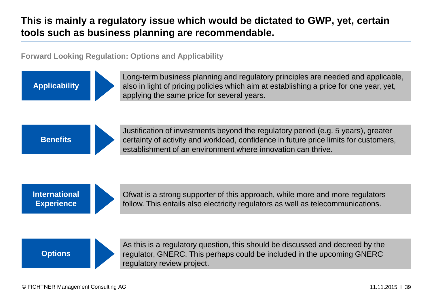# **This is mainly a regulatory issue which would be dictated to GWP, yet, certain tools such as business planning are recommendable.**

**Forward Looking Regulation: Options and Applicability**

**Applicability**

Long-term business planning and regulatory principles are needed and applicable, also in light of pricing policies which aim at establishing a price for one year, yet, applying the same price for several years.

**Benefits**



Justification of investments beyond the regulatory period (e.g. 5 years), greater certainty of activity and workload, confidence in future price limits for customers, establishment of an environment where innovation can thrive.

**International Experience**



Ofwat is a strong supporter of this approach, while more and more regulators follow. This entails also electricity regulators as well as telecommunications.



As this is a regulatory question, this should be discussed and decreed by the regulator, GNERC. This perhaps could be included in the upcoming GNERC regulatory review project.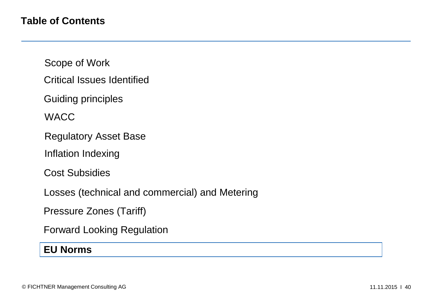Critical Issues Identified

Guiding principles

**WACC** 

Regulatory Asset Base

Inflation Indexing

Cost Subsidies

Losses (technical and commercial) and Metering

Pressure Zones (Tariff)

Forward Looking Regulation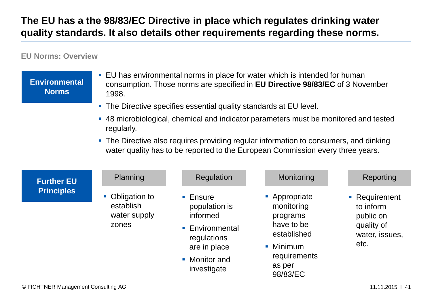# **The EU has a the 98/83/EC Directive in place which regulates drinking water quality standards. It also details other requirements regarding these norms.**

#### **EU Norms: Overview**

| <b>Environmental</b><br><b>Norms</b> | • EU has environmental norms in place for water which is intended for human<br>consumption. Those norms are specified in EU Directive 98/83/EC of 3 November<br>1998.    |                                                                                                                                      |                                                                                                                                                                         |                                                                                 |
|--------------------------------------|--------------------------------------------------------------------------------------------------------------------------------------------------------------------------|--------------------------------------------------------------------------------------------------------------------------------------|-------------------------------------------------------------------------------------------------------------------------------------------------------------------------|---------------------------------------------------------------------------------|
|                                      | • The Directive specifies essential quality standards at EU level.<br>• 48 microbiological, chemical and indicator parameters must be monitored and tested<br>regularly, |                                                                                                                                      |                                                                                                                                                                         |                                                                                 |
|                                      |                                                                                                                                                                          |                                                                                                                                      | • The Directive also requires providing regular information to consumers, and dinking<br>water quality has to be reported to the European Commission every three years. |                                                                                 |
| <b>Further EU</b>                    | Planning                                                                                                                                                                 | Regulation                                                                                                                           | Monitoring                                                                                                                                                              | Reporting                                                                       |
| <b>Principles</b>                    | Obligation to<br>establish<br>water supply<br>zones                                                                                                                      | $\blacksquare$ Ensure<br>population is<br>informed<br>• Environmental<br>regulations<br>are in place<br>• Monitor and<br>investigate | • Appropriate<br>monitoring<br>programs<br>have to be<br>established<br>• Minimum<br>requirements<br>as per<br>98/83/EC                                                 | • Requirement<br>to inform<br>public on<br>quality of<br>water, issues,<br>etc. |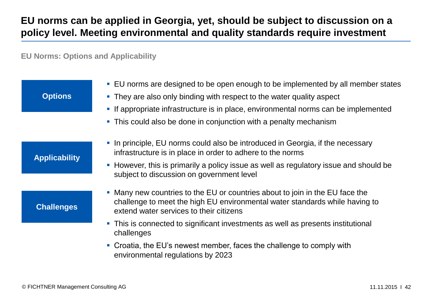# **EU norms can be applied in Georgia, yet, should be subject to discussion on a policy level. Meeting environmental and quality standards require investment**

**EU Norms: Options and Applicability** 

| <b>Options</b>       | • EU norms are designed to be open enough to be implemented by all member states<br>• They are also only binding with respect to the water quality aspect                                              |
|----------------------|--------------------------------------------------------------------------------------------------------------------------------------------------------------------------------------------------------|
|                      | If appropriate infrastructure is in place, environmental norms can be implemented<br>$\Box$<br>• This could also be done in conjunction with a penalty mechanism                                       |
|                      | • In principle, EU norms could also be introduced in Georgia, if the necessary<br>infrastructure is in place in order to adhere to the norms                                                           |
| <b>Applicability</b> | • However, this is primarily a policy issue as well as regulatory issue and should be<br>subject to discussion on government level                                                                     |
| <b>Challenges</b>    | • Many new countries to the EU or countries about to join in the EU face the<br>challenge to meet the high EU environmental water standards while having to<br>extend water services to their citizens |
|                      | • This is connected to significant investments as well as presents institutional<br>challenges                                                                                                         |
|                      | • Croatia, the EU's newest member, faces the challenge to comply with<br>environmental regulations by 2023                                                                                             |
|                      |                                                                                                                                                                                                        |